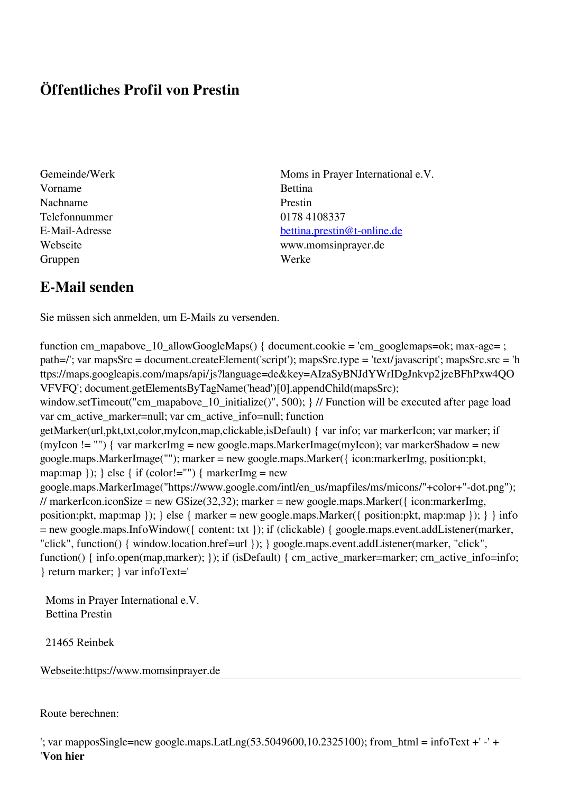## **Öffentliches Profil von Prestin**

Vorname Bettina Nachname Prestin Telefonnummer 0178 4108337 Gruppen Werke

Gemeinde/Werk Moms in Prayer International e.V. E-Mail-Adresse [bettina.prestin@t-online.de](mailto:bettina.prestin@t-online.de) Webseite www.momsinprayer.de

## **E-Mail senden**

Sie müssen sich anmelden, um E-Mails zu versenden.

```
function cm_mapabove_10_allowGoogleMaps() { document.cookie = 'cm_googlemaps=ok; max-age= ;
path=/'; var mapsSrc = document.createElement('script'); mapsSrc.type = 'text/javascript'; mapsSrc.src = 'h
ttps://maps.googleapis.com/maps/api/js?language=de&key=AIzaSyBNJdYWrIDgJnkvp2jzeBFhPxw4QO
VFVFQ'; document.getElementsByTagName('head')[0].appendChild(mapsSrc);
window.setTimeout("cm_mapabove_10_initialize()", 500); } // Function will be executed after page load
var cm_active_marker=null; var cm_active_info=null; function
getMarker(url,pkt,txt,color,myIcon,map,clickable,isDefault) { var info; var markerIcon; var marker; if
(myIcon != "") { var markerImg = new google.maps.MarkerImage(myIcon); var markerShadow = new
google.maps.MarkerImage(""); marker = new google.maps.Marker({ icon:markerImg, position:pkt,
map:map \}); \} else \{ if (color!="") \{ markerImg = new
google.maps.MarkerImage("https://www.google.com/intl/en_us/mapfiles/ms/micons/"+color+"-dot.png");
// markerIcon.iconSize = new GSize(32.32); marker = new google.maps.Marker(\{icon:markerImg,
position:pkt, map:map }); } else { marker = new google.maps.Marker({ position:pkt, map:map }); } } info
= new google.maps.InfoWindow({ content: txt }); if (clickable) { google.maps.event.addListener(marker,
"click", function() { window.location.href=url }); } google.maps.event.addListener(marker, "click",
function() { info.open(map,marker); }); if (isDefault) { cm_active_marker=marker; cm_active_info=info;
} return marker; } var infoText='
```
 Moms in Prayer International e.V. Bettina Prestin

21465 Reinbek

Webseite:https://www.momsinprayer.de

Route berechnen:

```
'; var mapposSingle=new google.maps.LatLng(53.5049600,10.2325100); from_html = infoText +' -' +'
'Von hier
```